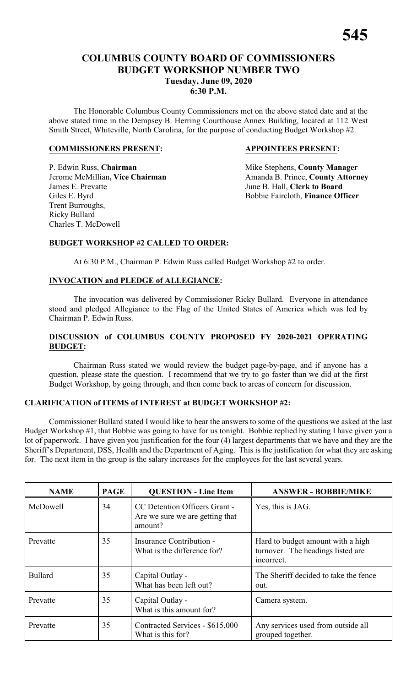The Honorable Columbus County Commissioners met on the above stated date and at the above stated time in the Dempsey B. Herring Courthouse Annex Building, located at 112 West Smith Street, Whiteville, North Carolina, for the purpose of conducting Budget Workshop #2.

#### **COMMISSIONERS PRESENT: APPOINTEES PRESENT:**

P. Edwin Russ, **Chairman** Mike Stephens, **County Manager** James E. Prevatte June B. Hall, **Clerk to Board** Giles E. Byrd Bobbie Faircloth, **Finance Officer** Trent Burroughs, Ricky Bullard Charles T. McDowell

Jerome McMillian, Vice Chairman Amanda B. Prince, County Attorney

#### **BUDGET WORKSHOP #2 CALLED TO ORDER:**

At 6:30 P.M., Chairman P. Edwin Russ called Budget Workshop #2 to order.

### **INVOCATION and PLEDGE of ALLEGIANCE:**

The invocation was delivered by Commissioner Ricky Bullard. Everyone in attendance stood and pledged Allegiance to the Flag of the United States of America which was led by Chairman P. Edwin Russ.

#### **DISCUSSION of COLUMBUS COUNTY PROPOSED FY 2020-2021 OPERATING BUDGET:**

Chairman Russ stated we would review the budget page-by-page, and if anyone has a question, please state the question. I recommend that we try to go faster than we did at the first Budget Workshop, by going through, and then come back to areas of concern for discussion.

#### **CLARIFICATION of ITEMS of INTEREST at BUDGET WORKSHOP #2:**

Commissioner Bullard stated I would like to hear the answers to some of the questions we asked at the last Budget Workshop #1, that Bobbie was going to have for us tonight. Bobbie replied by stating I have given you a lot of paperwork. I have given you justification for the four (4) largest departments that we have and they are the Sheriff's Department, DSS, Health and the Department of Aging. This is the justification for what they are asking for. The next item in the group is the salary increases for the employees for the last several years.

| <b>NAME</b>    | <b>PAGE</b> | <b>QUESTION - Line Item</b>                                                 | <b>ANSWER - BOBBIE/MIKE</b>                                                          |
|----------------|-------------|-----------------------------------------------------------------------------|--------------------------------------------------------------------------------------|
| McDowell       | 34          | CC Detention Officers Grant -<br>Are we sure we are getting that<br>amount? | Yes, this is JAG.                                                                    |
| Prevatte       | 35          | Insurance Contribution -<br>What is the difference for?                     | Hard to budget amount with a high<br>turnover. The headings listed are<br>incorrect. |
| <b>Bullard</b> | 35          | Capital Outlay -<br>What has been left out?                                 | The Sheriff decided to take the fence<br>out.                                        |
| Prevatte       | 35          | Capital Outlay -<br>What is this amount for?                                | Camera system.                                                                       |
| Prevatte       | 35          | Contracted Services - \$615,000<br>What is this for?                        | Any services used from outside all<br>grouped together.                              |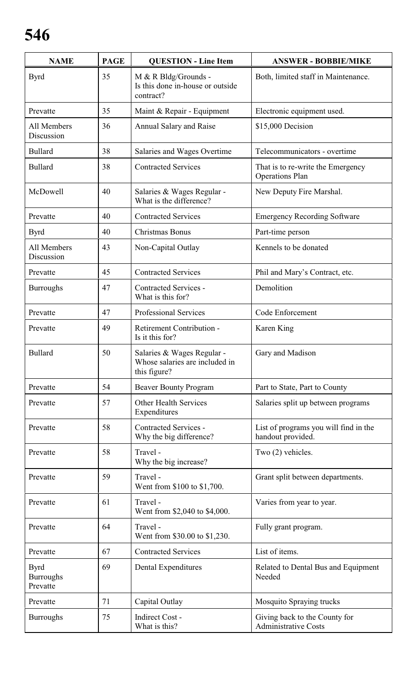| <b>NAME</b>                                 | <b>PAGE</b> | <b>QUESTION - Line Item</b>                                                  | <b>ANSWER - BOBBIE/MIKE</b>                                  |
|---------------------------------------------|-------------|------------------------------------------------------------------------------|--------------------------------------------------------------|
| <b>Byrd</b>                                 | 35          | M & R Bldg/Grounds -<br>Is this done in-house or outside<br>contract?        | Both, limited staff in Maintenance.                          |
| Prevatte                                    | 35          | Maint & Repair - Equipment                                                   | Electronic equipment used.                                   |
| All Members<br>Discussion                   | 36          | Annual Salary and Raise                                                      | \$15,000 Decision                                            |
| <b>Bullard</b>                              | 38          | Salaries and Wages Overtime                                                  | Telecommunicators - overtime                                 |
| <b>Bullard</b>                              | 38          | <b>Contracted Services</b>                                                   | That is to re-write the Emergency<br><b>Operations Plan</b>  |
| McDowell                                    | 40          | Salaries & Wages Regular -<br>What is the difference?                        | New Deputy Fire Marshal.                                     |
| Prevatte                                    | 40          | <b>Contracted Services</b>                                                   | <b>Emergency Recording Software</b>                          |
| <b>Byrd</b>                                 | 40          | <b>Christmas Bonus</b>                                                       | Part-time person                                             |
| All Members<br>Discussion                   | 43          | Non-Capital Outlay                                                           | Kennels to be donated                                        |
| Prevatte                                    | 45          | <b>Contracted Services</b>                                                   | Phil and Mary's Contract, etc.                               |
| <b>Burroughs</b>                            | 47          | <b>Contracted Services -</b><br>What is this for?                            | Demolition                                                   |
| Prevatte                                    | 47          | Professional Services                                                        | Code Enforcement                                             |
| Prevatte                                    | 49          | Retirement Contribution -<br>Is it this for?                                 | Karen King                                                   |
| <b>Bullard</b>                              | 50          | Salaries & Wages Regular -<br>Whose salaries are included in<br>this figure? | Gary and Madison                                             |
| Prevatte                                    | 54          | <b>Beaver Bounty Program</b>                                                 | Part to State, Part to County                                |
| Prevatte                                    | 57          | <b>Other Health Services</b><br>Expenditures                                 | Salaries split up between programs                           |
| Prevatte                                    | 58          | <b>Contracted Services -</b><br>Why the big difference?                      | List of programs you will find in the<br>handout provided.   |
| Prevatte                                    | 58          | Travel -<br>Why the big increase?                                            | Two (2) vehicles.                                            |
| Prevatte                                    | 59          | Travel -<br>Went from \$100 to \$1,700.                                      | Grant split between departments.                             |
| Prevatte                                    | 61          | Travel -<br>Went from \$2,040 to \$4,000.                                    | Varies from year to year.                                    |
| Prevatte                                    | 64          | Travel -<br>Went from \$30.00 to \$1,230.                                    | Fully grant program.                                         |
| Prevatte                                    | 67          | <b>Contracted Services</b>                                                   | List of items.                                               |
| <b>Byrd</b><br><b>Burroughs</b><br>Prevatte | 69          | Dental Expenditures                                                          | Related to Dental Bus and Equipment<br>Needed                |
| Prevatte                                    | 71          | Capital Outlay                                                               | Mosquito Spraying trucks                                     |
| <b>Burroughs</b>                            | 75          | Indirect Cost -<br>What is this?                                             | Giving back to the County for<br><b>Administrative Costs</b> |